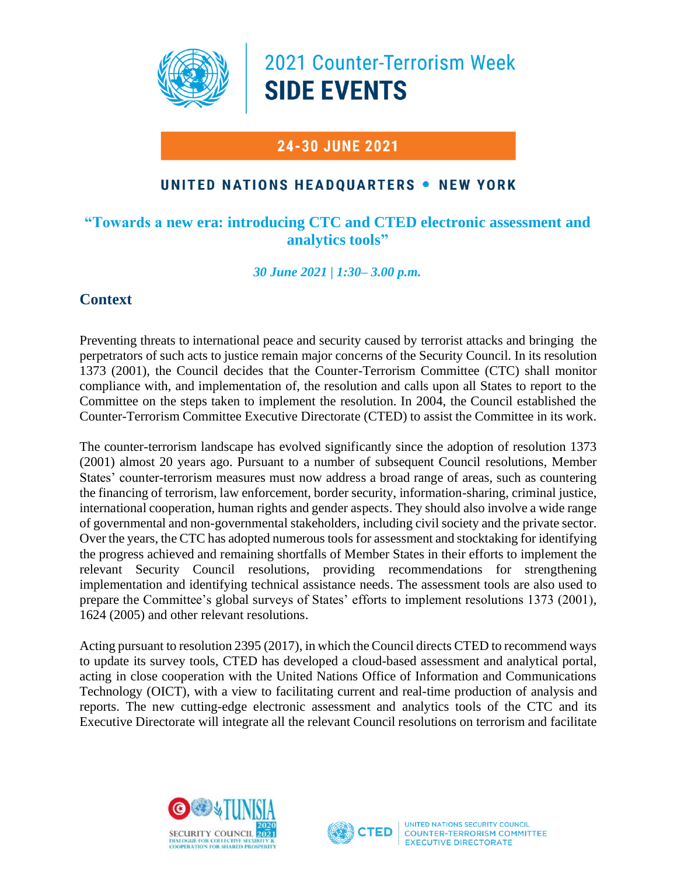

2021 Counter-Terrorism Week **SIDE EVENTS** 

# **24-30 JUNE 2021**

## UNITED NATIONS HEADOUARTERS . NEW YORK

#### **"Towards a new era: introducing CTC and CTED electronic assessment and analytics tools"**

*30 June 2021 | 1:30– 3.00 p.m.*

## **Context**

Preventing threats to international peace and security caused by terrorist attacks and bringing the perpetrators of such acts to justice remain major concerns of the Security Council. In its resolution 1373 (2001), the Council decides that the Counter-Terrorism Committee (CTC) shall monitor compliance with, and implementation of, the resolution and calls upon all States to report to the Committee on the steps taken to implement the resolution. In 2004, the Council established the Counter-Terrorism Committee Executive Directorate (CTED) to assist the Committee in its work.

The counter-terrorism landscape has evolved significantly since the adoption of resolution 1373 (2001) almost 20 years ago. Pursuant to a number of subsequent Council resolutions, Member States' counter-terrorism measures must now address a broad range of areas, such as countering the financing of terrorism, law enforcement, border security, information-sharing, criminal justice, international cooperation, human rights and gender aspects. They should also involve a wide range of governmental and non-governmental stakeholders, including civil society and the private sector. Over the years, the CTC has adopted numerous tools for assessment and stocktaking for identifying the progress achieved and remaining shortfalls of Member States in their efforts to implement the relevant Security Council resolutions, providing recommendations for strengthening implementation and identifying technical assistance needs. The assessment tools are also used to prepare the Committee's global surveys of States' efforts to implement resolutions 1373 (2001), 1624 (2005) and other relevant resolutions.

Acting pursuant to resolution 2395 (2017), in which the Council directs CTED to recommend ways to update its survey tools, CTED has developed a cloud-based assessment and analytical portal, acting in close cooperation with the United Nations Office of Information and Communications Technology (OICT), with a view to facilitating current and real-time production of analysis and reports. The new cutting-edge electronic assessment and analytics tools of the CTC and its Executive Directorate will integrate all the relevant Council resolutions on terrorism and facilitate





UNITED NATIONS SECURITY COUNCIL **COUNTER-TERRORISM COMMITTEE EXECUTIVE DIRECTORATE**